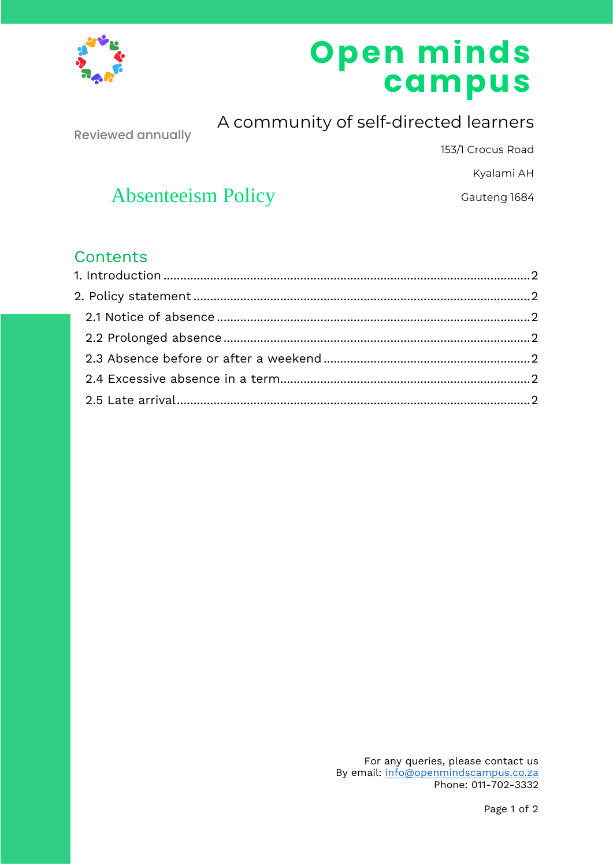

# Open minds<br>campus

**Reviewed annually** 

A community of self-directed learners

153/1 Crocus Road

Kyalami AH

Gauteng 1684

## **Absenteeism Policy**

## Contents

For any queries, please contact us By email: info@openmindscampus.co.za Phone: 011-702-3332